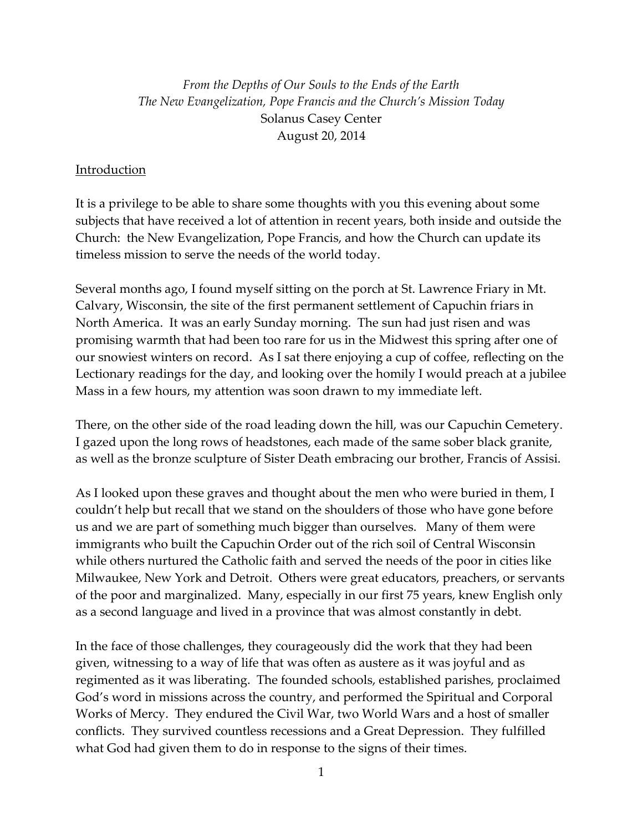*From the Depths of Our Souls to the Ends of the Earth The New Evangelization, Pope Francis and the Church's Mission Today* Solanus Casey Center August 20, 2014

#### Introduction

It is a privilege to be able to share some thoughts with you this evening about some subjects that have received a lot of attention in recent years, both inside and outside the Church: the New Evangelization, Pope Francis, and how the Church can update its timeless mission to serve the needs of the world today.

Several months ago, I found myself sitting on the porch at St. Lawrence Friary in Mt. Calvary, Wisconsin, the site of the first permanent settlement of Capuchin friars in North America. It was an early Sunday morning. The sun had just risen and was promising warmth that had been too rare for us in the Midwest this spring after one of our snowiest winters on record. As I sat there enjoying a cup of coffee, reflecting on the Lectionary readings for the day, and looking over the homily I would preach at a jubilee Mass in a few hours, my attention was soon drawn to my immediate left.

There, on the other side of the road leading down the hill, was our Capuchin Cemetery. I gazed upon the long rows of headstones, each made of the same sober black granite, as well as the bronze sculpture of Sister Death embracing our brother, Francis of Assisi.

As I looked upon these graves and thought about the men who were buried in them, I couldn't help but recall that we stand on the shoulders of those who have gone before us and we are part of something much bigger than ourselves. Many of them were immigrants who built the Capuchin Order out of the rich soil of Central Wisconsin while others nurtured the Catholic faith and served the needs of the poor in cities like Milwaukee, New York and Detroit. Others were great educators, preachers, or servants of the poor and marginalized. Many, especially in our first 75 years, knew English only as a second language and lived in a province that was almost constantly in debt.

In the face of those challenges, they courageously did the work that they had been given, witnessing to a way of life that was often as austere as it was joyful and as regimented as it was liberating. The founded schools, established parishes, proclaimed God's word in missions across the country, and performed the Spiritual and Corporal Works of Mercy. They endured the Civil War, two World Wars and a host of smaller conflicts. They survived countless recessions and a Great Depression. They fulfilled what God had given them to do in response to the signs of their times.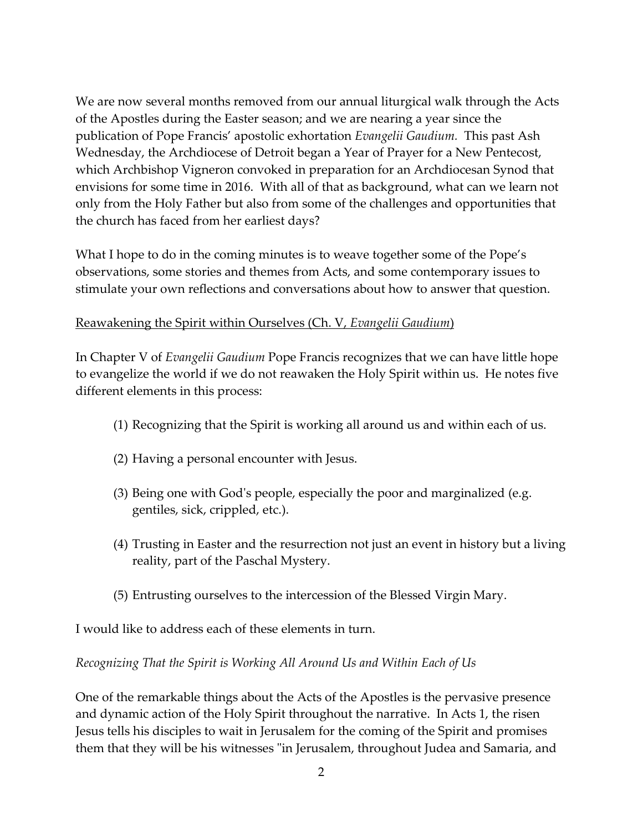We are now several months removed from our annual liturgical walk through the Acts of the Apostles during the Easter season; and we are nearing a year since the publication of Pope Francis' apostolic exhortation *Evangelii Gaudium.* This past Ash Wednesday, the Archdiocese of Detroit began a Year of Prayer for a New Pentecost, which Archbishop Vigneron convoked in preparation for an Archdiocesan Synod that envisions for some time in 2016. With all of that as background, what can we learn not only from the Holy Father but also from some of the challenges and opportunities that the church has faced from her earliest days?

What I hope to do in the coming minutes is to weave together some of the Pope's observations, some stories and themes from Acts, and some contemporary issues to stimulate your own reflections and conversations about how to answer that question.

### Reawakening the Spirit within Ourselves (Ch. V, *Evangelii Gaudium*)

In Chapter V of *Evangelii Gaudium* Pope Francis recognizes that we can have little hope to evangelize the world if we do not reawaken the Holy Spirit within us. He notes five different elements in this process:

- (1) Recognizing that the Spirit is working all around us and within each of us.
- (2) Having a personal encounter with Jesus.
- (3) Being one with God's people, especially the poor and marginalized (e.g. gentiles, sick, crippled, etc.).
- (4) Trusting in Easter and the resurrection not just an event in history but a living reality, part of the Paschal Mystery.
- (5) Entrusting ourselves to the intercession of the Blessed Virgin Mary.

I would like to address each of these elements in turn.

#### *Recognizing That the Spirit is Working All Around Us and Within Each of Us*

One of the remarkable things about the Acts of the Apostles is the pervasive presence and dynamic action of the Holy Spirit throughout the narrative. In Acts 1, the risen Jesus tells his disciples to wait in Jerusalem for the coming of the Spirit and promises them that they will be his witnesses "in Jerusalem, throughout Judea and Samaria, and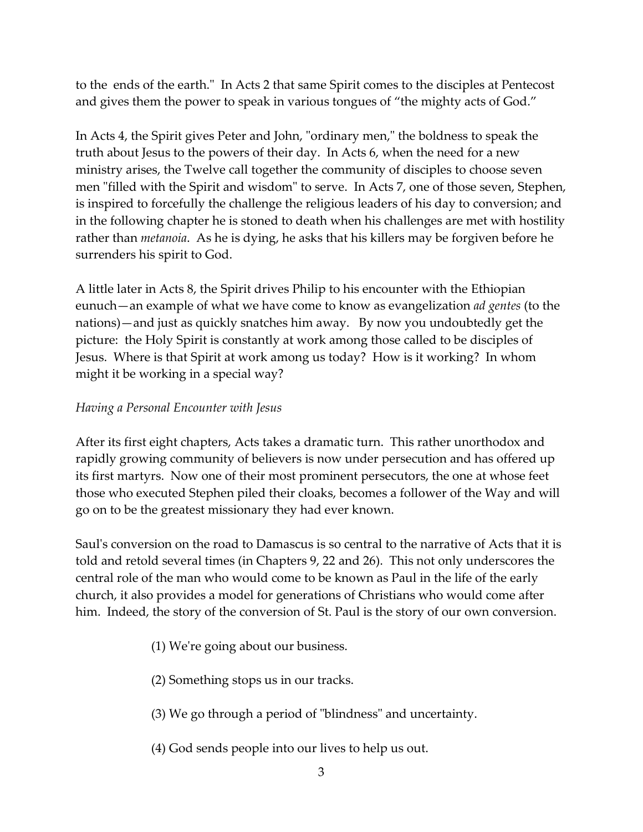to the ends of the earth." In Acts 2 that same Spirit comes to the disciples at Pentecost and gives them the power to speak in various tongues of "the mighty acts of God."

In Acts 4, the Spirit gives Peter and John, "ordinary men," the boldness to speak the truth about Jesus to the powers of their day. In Acts 6, when the need for a new ministry arises, the Twelve call together the community of disciples to choose seven men "filled with the Spirit and wisdom" to serve. In Acts 7, one of those seven, Stephen, is inspired to forcefully the challenge the religious leaders of his day to conversion; and in the following chapter he is stoned to death when his challenges are met with hostility rather than *metanoia*. As he is dying, he asks that his killers may be forgiven before he surrenders his spirit to God.

A little later in Acts 8, the Spirit drives Philip to his encounter with the Ethiopian eunuch—an example of what we have come to know as evangelization *ad gentes* (to the nations)—and just as quickly snatches him away. By now you undoubtedly get the picture: the Holy Spirit is constantly at work among those called to be disciples of Jesus. Where is that Spirit at work among us today? How is it working? In whom might it be working in a special way?

# *Having a Personal Encounter with Jesus*

After its first eight chapters, Acts takes a dramatic turn. This rather unorthodox and rapidly growing community of believers is now under persecution and has offered up its first martyrs. Now one of their most prominent persecutors, the one at whose feet those who executed Stephen piled their cloaks, becomes a follower of the Way and will go on to be the greatest missionary they had ever known.

Saul's conversion on the road to Damascus is so central to the narrative of Acts that it is told and retold several times (in Chapters 9, 22 and 26). This not only underscores the central role of the man who would come to be known as Paul in the life of the early church, it also provides a model for generations of Christians who would come after him. Indeed, the story of the conversion of St. Paul is the story of our own conversion.

- (1) We're going about our business.
- (2) Something stops us in our tracks.
- (3) We go through a period of "blindness" and uncertainty.
- (4) God sends people into our lives to help us out.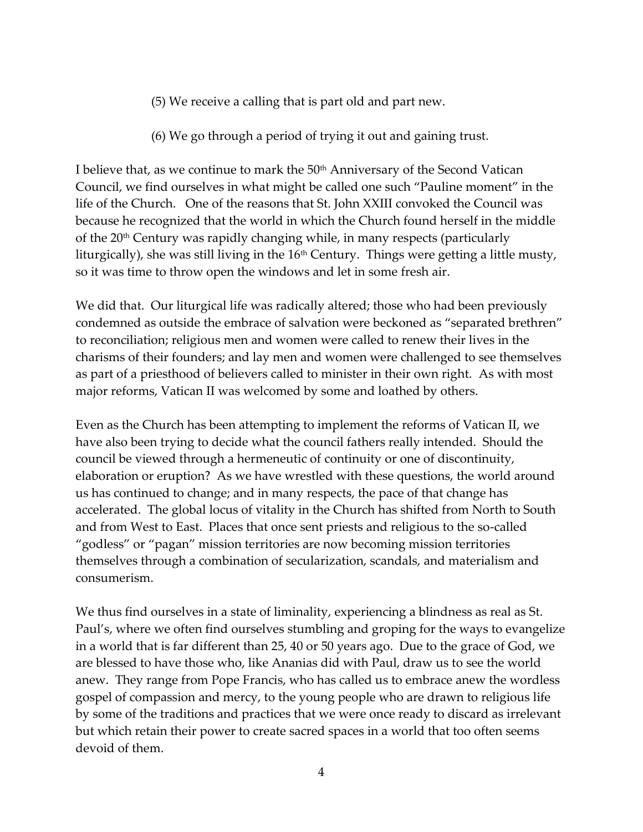- (5) We receive a calling that is part old and part new.
- (6) We go through a period of trying it out and gaining trust.

I believe that, as we continue to mark the 50<sup>th</sup> Anniversary of the Second Vatican Council, we find ourselves in what might be called one such "Pauline moment" in the life of the Church. One of the reasons that St. John XXIII convoked the Council was because he recognized that the world in which the Church found herself in the middle of the  $20<sup>th</sup>$  Century was rapidly changing while, in many respects (particularly liturgically), she was still living in the  $16<sup>th</sup>$  Century. Things were getting a little musty, so it was time to throw open the windows and let in some fresh air.

We did that. Our liturgical life was radically altered; those who had been previously condemned as outside the embrace of salvation were beckoned as "separated brethren" to reconciliation; religious men and women were called to renew their lives in the charisms of their founders; and lay men and women were challenged to see themselves as part of a priesthood of believers called to minister in their own right. As with most major reforms, Vatican II was welcomed by some and loathed by others.

Even as the Church has been attempting to implement the reforms of Vatican II, we have also been trying to decide what the council fathers really intended. Should the council be viewed through a hermeneutic of continuity or one of discontinuity, elaboration or eruption? As we have wrestled with these questions, the world around us has continued to change; and in many respects, the pace of that change has accelerated. The global locus of vitality in the Church has shifted from North to South and from West to East. Places that once sent priests and religious to the so-called "godless" or "pagan" mission territories are now becoming mission territories themselves through a combination of secularization, scandals, and materialism and consumerism.

We thus find ourselves in a state of liminality, experiencing a blindness as real as St. Paul's, where we often find ourselves stumbling and groping for the ways to evangelize in a world that is far different than 25, 40 or 50 years ago. Due to the grace of God, we are blessed to have those who, like Ananias did with Paul, draw us to see the world anew. They range from Pope Francis, who has called us to embrace anew the wordless gospel of compassion and mercy, to the young people who are drawn to religious life by some of the traditions and practices that we were once ready to discard as irrelevant but which retain their power to create sacred spaces in a world that too often seems devoid of them.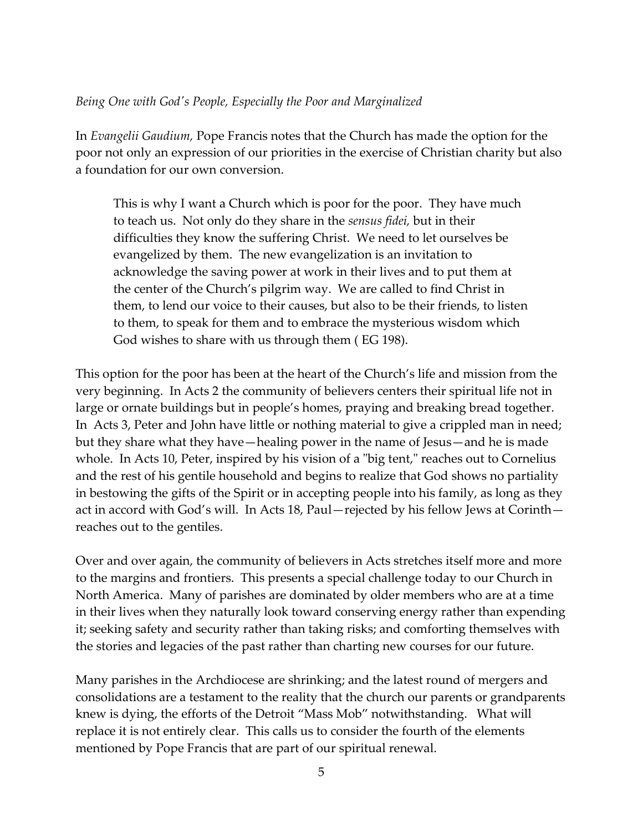#### *Being One with God's People, Especially the Poor and Marginalized*

In *Evangelii Gaudium,* Pope Francis notes that the Church has made the option for the poor not only an expression of our priorities in the exercise of Christian charity but also a foundation for our own conversion.

This is why I want a Church which is poor for the poor. They have much to teach us. Not only do they share in the *sensus fidei,* but in their difficulties they know the suffering Christ. We need to let ourselves be evangelized by them. The new evangelization is an invitation to acknowledge the saving power at work in their lives and to put them at the center of the Church's pilgrim way. We are called to find Christ in them, to lend our voice to their causes, but also to be their friends, to listen to them, to speak for them and to embrace the mysterious wisdom which God wishes to share with us through them ( EG 198).

This option for the poor has been at the heart of the Church's life and mission from the very beginning. In Acts 2 the community of believers centers their spiritual life not in large or ornate buildings but in people's homes, praying and breaking bread together. In Acts 3, Peter and John have little or nothing material to give a crippled man in need; but they share what they have—healing power in the name of Jesus—and he is made whole. In Acts 10, Peter, inspired by his vision of a "big tent," reaches out to Cornelius and the rest of his gentile household and begins to realize that God shows no partiality in bestowing the gifts of the Spirit or in accepting people into his family, as long as they act in accord with God's will. In Acts 18, Paul—rejected by his fellow Jews at Corinth reaches out to the gentiles.

Over and over again, the community of believers in Acts stretches itself more and more to the margins and frontiers. This presents a special challenge today to our Church in North America. Many of parishes are dominated by older members who are at a time in their lives when they naturally look toward conserving energy rather than expending it; seeking safety and security rather than taking risks; and comforting themselves with the stories and legacies of the past rather than charting new courses for our future.

Many parishes in the Archdiocese are shrinking; and the latest round of mergers and consolidations are a testament to the reality that the church our parents or grandparents knew is dying, the efforts of the Detroit "Mass Mob" notwithstanding. What will replace it is not entirely clear. This calls us to consider the fourth of the elements mentioned by Pope Francis that are part of our spiritual renewal.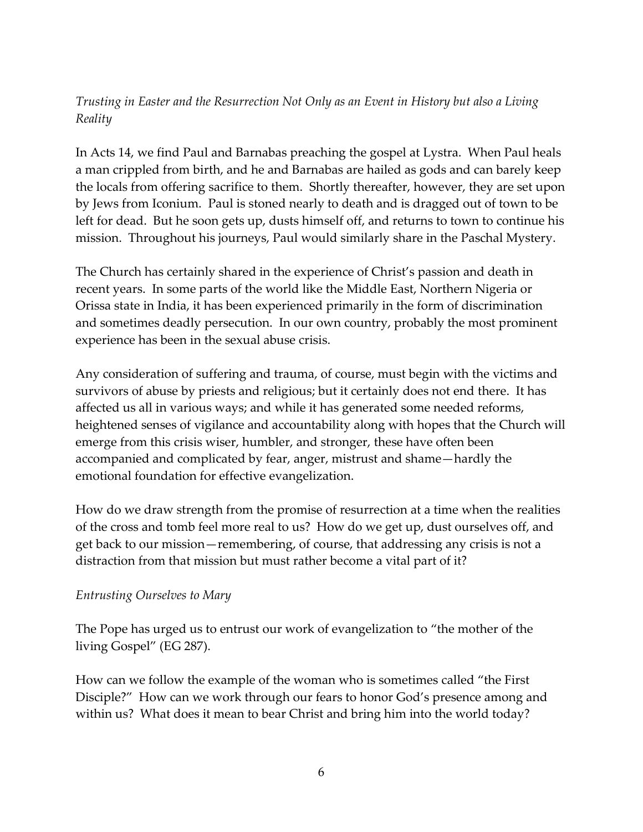# *Trusting in Easter and the Resurrection Not Only as an Event in History but also a Living Reality*

In Acts 14, we find Paul and Barnabas preaching the gospel at Lystra. When Paul heals a man crippled from birth, and he and Barnabas are hailed as gods and can barely keep the locals from offering sacrifice to them. Shortly thereafter, however, they are set upon by Jews from Iconium. Paul is stoned nearly to death and is dragged out of town to be left for dead. But he soon gets up, dusts himself off, and returns to town to continue his mission. Throughout his journeys, Paul would similarly share in the Paschal Mystery.

The Church has certainly shared in the experience of Christ's passion and death in recent years. In some parts of the world like the Middle East, Northern Nigeria or Orissa state in India, it has been experienced primarily in the form of discrimination and sometimes deadly persecution. In our own country, probably the most prominent experience has been in the sexual abuse crisis.

Any consideration of suffering and trauma, of course, must begin with the victims and survivors of abuse by priests and religious; but it certainly does not end there. It has affected us all in various ways; and while it has generated some needed reforms, heightened senses of vigilance and accountability along with hopes that the Church will emerge from this crisis wiser, humbler, and stronger, these have often been accompanied and complicated by fear, anger, mistrust and shame—hardly the emotional foundation for effective evangelization.

How do we draw strength from the promise of resurrection at a time when the realities of the cross and tomb feel more real to us? How do we get up, dust ourselves off, and get back to our mission—remembering, of course, that addressing any crisis is not a distraction from that mission but must rather become a vital part of it?

#### *Entrusting Ourselves to Mary*

The Pope has urged us to entrust our work of evangelization to "the mother of the living Gospel" (EG 287).

How can we follow the example of the woman who is sometimes called "the First Disciple?" How can we work through our fears to honor God's presence among and within us? What does it mean to bear Christ and bring him into the world today?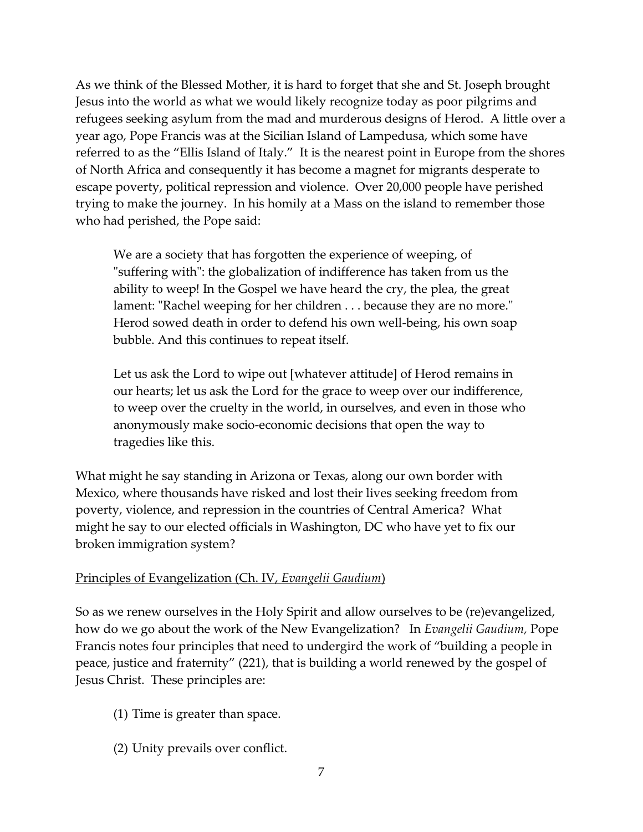As we think of the Blessed Mother, it is hard to forget that she and St. Joseph brought Jesus into the world as what we would likely recognize today as poor pilgrims and refugees seeking asylum from the mad and murderous designs of Herod. A little over a year ago, Pope Francis was at the Sicilian Island of Lampedusa, which some have referred to as the "Ellis Island of Italy." It is the nearest point in Europe from the shores of North Africa and consequently it has become a magnet for migrants desperate to escape poverty, political repression and violence. Over 20,000 people have perished trying to make the journey. In his homily at a Mass on the island to remember those who had perished, the Pope said:

We are a society that has forgotten the experience of weeping, of "suffering with": the globalization of indifference has taken from us the ability to weep! In the Gospel we have heard the cry, the plea, the great lament: "Rachel weeping for her children . . . because they are no more." Herod sowed death in order to defend his own well-being, his own soap bubble. And this continues to repeat itself.

Let us ask the Lord to wipe out [whatever attitude] of Herod remains in our hearts; let us ask the Lord for the grace to weep over our indifference, to weep over the cruelty in the world, in ourselves, and even in those who anonymously make socio-economic decisions that open the way to tragedies like this.

What might he say standing in Arizona or Texas, along our own border with Mexico, where thousands have risked and lost their lives seeking freedom from poverty, violence, and repression in the countries of Central America? What might he say to our elected officials in Washington, DC who have yet to fix our broken immigration system?

#### Principles of Evangelization (Ch. IV, *Evangelii Gaudium*)

So as we renew ourselves in the Holy Spirit and allow ourselves to be (re)evangelized, how do we go about the work of the New Evangelization? In *Evangelii Gaudium,* Pope Francis notes four principles that need to undergird the work of "building a people in peace, justice and fraternity" (221), that is building a world renewed by the gospel of Jesus Christ. These principles are:

- (1) Time is greater than space.
- (2) Unity prevails over conflict.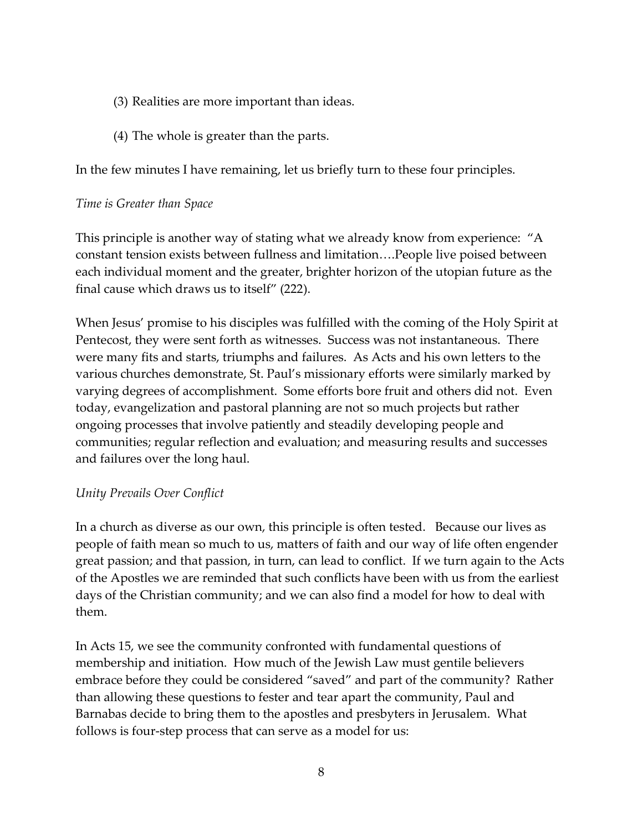- (3) Realities are more important than ideas.
- (4) The whole is greater than the parts.

In the few minutes I have remaining, let us briefly turn to these four principles.

### *Time is Greater than Space*

This principle is another way of stating what we already know from experience: "A constant tension exists between fullness and limitation….People live poised between each individual moment and the greater, brighter horizon of the utopian future as the final cause which draws us to itself" (222).

When Jesus' promise to his disciples was fulfilled with the coming of the Holy Spirit at Pentecost, they were sent forth as witnesses. Success was not instantaneous. There were many fits and starts, triumphs and failures. As Acts and his own letters to the various churches demonstrate, St. Paul's missionary efforts were similarly marked by varying degrees of accomplishment. Some efforts bore fruit and others did not. Even today, evangelization and pastoral planning are not so much projects but rather ongoing processes that involve patiently and steadily developing people and communities; regular reflection and evaluation; and measuring results and successes and failures over the long haul.

#### *Unity Prevails Over Conflict*

In a church as diverse as our own, this principle is often tested. Because our lives as people of faith mean so much to us, matters of faith and our way of life often engender great passion; and that passion, in turn, can lead to conflict. If we turn again to the Acts of the Apostles we are reminded that such conflicts have been with us from the earliest days of the Christian community; and we can also find a model for how to deal with them.

In Acts 15, we see the community confronted with fundamental questions of membership and initiation. How much of the Jewish Law must gentile believers embrace before they could be considered "saved" and part of the community? Rather than allowing these questions to fester and tear apart the community, Paul and Barnabas decide to bring them to the apostles and presbyters in Jerusalem. What follows is four-step process that can serve as a model for us: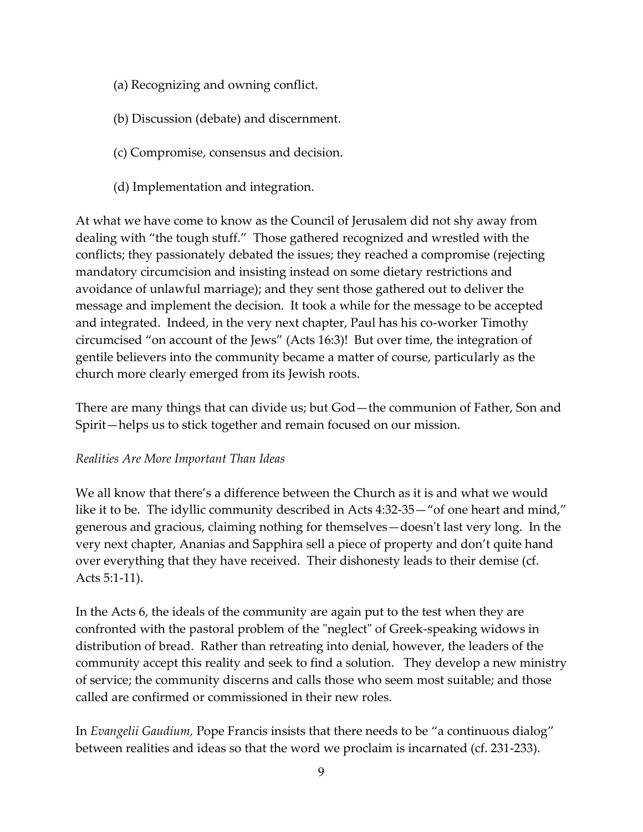- (a) Recognizing and owning conflict.
- (b) Discussion (debate) and discernment.
- (c) Compromise, consensus and decision.
- (d) Implementation and integration.

At what we have come to know as the Council of Jerusalem did not shy away from dealing with "the tough stuff." Those gathered recognized and wrestled with the conflicts; they passionately debated the issues; they reached a compromise (rejecting mandatory circumcision and insisting instead on some dietary restrictions and avoidance of unlawful marriage); and they sent those gathered out to deliver the message and implement the decision. It took a while for the message to be accepted and integrated. Indeed, in the very next chapter, Paul has his co-worker Timothy circumcised "on account of the Jews" (Acts 16:3)! But over time, the integration of gentile believers into the community became a matter of course, particularly as the church more clearly emerged from its Jewish roots.

There are many things that can divide us; but God—the communion of Father, Son and Spirit—helps us to stick together and remain focused on our mission.

# *Realities Are More Important Than Ideas*

We all know that there's a difference between the Church as it is and what we would like it to be. The idyllic community described in Acts 4:32-35—"of one heart and mind," generous and gracious, claiming nothing for themselves—doesn't last very long. In the very next chapter, Ananias and Sapphira sell a piece of property and don't quite hand over everything that they have received. Their dishonesty leads to their demise (cf. Acts 5:1-11).

In the Acts 6, the ideals of the community are again put to the test when they are confronted with the pastoral problem of the "neglect" of Greek-speaking widows in distribution of bread. Rather than retreating into denial, however, the leaders of the community accept this reality and seek to find a solution. They develop a new ministry of service; the community discerns and calls those who seem most suitable; and those called are confirmed or commissioned in their new roles.

In *Evangelii Gaudium,* Pope Francis insists that there needs to be "a continuous dialog" between realities and ideas so that the word we proclaim is incarnated (cf. 231-233).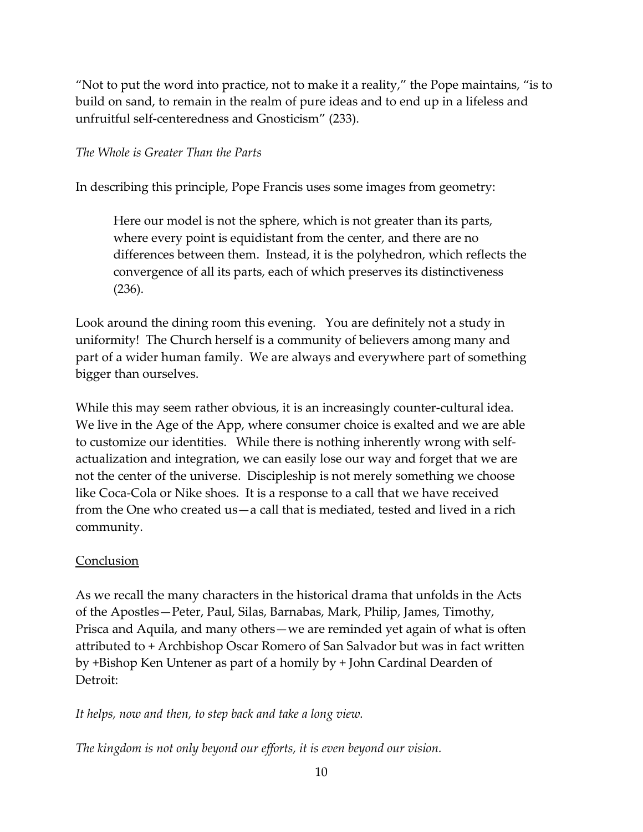"Not to put the word into practice, not to make it a reality," the Pope maintains, "is to build on sand, to remain in the realm of pure ideas and to end up in a lifeless and unfruitful self-centeredness and Gnosticism" (233).

# *The Whole is Greater Than the Parts*

In describing this principle, Pope Francis uses some images from geometry:

Here our model is not the sphere, which is not greater than its parts, where every point is equidistant from the center, and there are no differences between them. Instead, it is the polyhedron, which reflects the convergence of all its parts, each of which preserves its distinctiveness (236).

Look around the dining room this evening. You are definitely not a study in uniformity! The Church herself is a community of believers among many and part of a wider human family. We are always and everywhere part of something bigger than ourselves.

While this may seem rather obvious, it is an increasingly counter-cultural idea. We live in the Age of the App, where consumer choice is exalted and we are able to customize our identities. While there is nothing inherently wrong with selfactualization and integration, we can easily lose our way and forget that we are not the center of the universe. Discipleship is not merely something we choose like Coca-Cola or Nike shoes. It is a response to a call that we have received from the One who created us—a call that is mediated, tested and lived in a rich community.

# Conclusion

As we recall the many characters in the historical drama that unfolds in the Acts of the Apostles—Peter, Paul, Silas, Barnabas, Mark, Philip, James, Timothy, Prisca and Aquila, and many others—we are reminded yet again of what is often attributed to + Archbishop Oscar Romero of San Salvador but was in fact written by +Bishop Ken Untener as part of a homily by + John Cardinal Dearden of Detroit:

*It helps, now and then, to step back and take a long view.*

*The kingdom is not only beyond our efforts, it is even beyond our vision.*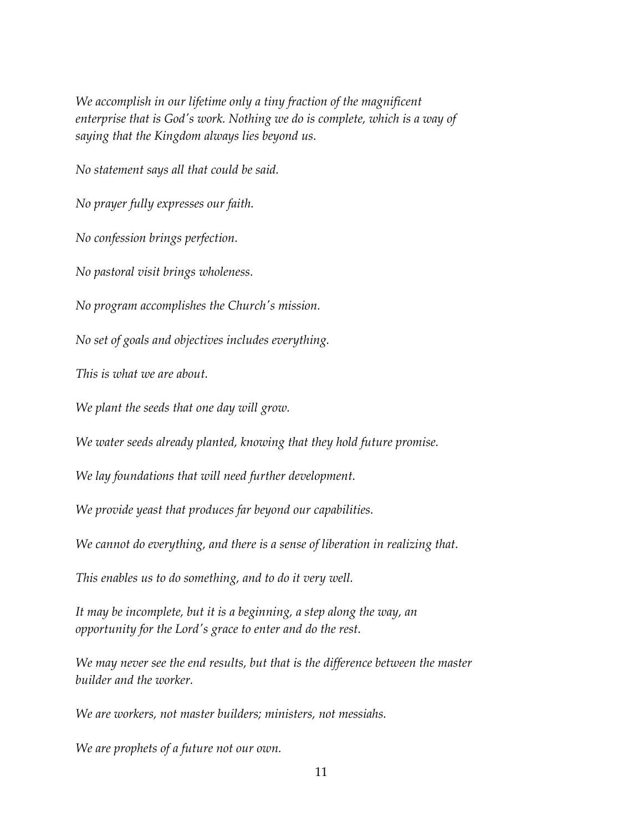*We accomplish in our lifetime only a tiny fraction of the magnificent enterprise that is God's work. Nothing we do is complete, which is a way of saying that the Kingdom always lies beyond us.*

*No statement says all that could be said.*

*No prayer fully expresses our faith.*

*No confession brings perfection.*

*No pastoral visit brings wholeness.*

*No program accomplishes the Church's mission.*

*No set of goals and objectives includes everything.*

*This is what we are about.*

*We plant the seeds that one day will grow.*

*We water seeds already planted, knowing that they hold future promise.*

*We lay foundations that will need further development.*

*We provide yeast that produces far beyond our capabilities.*

*We cannot do everything, and there is a sense of liberation in realizing that.*

*This enables us to do something, and to do it very well.*

*It may be incomplete, but it is a beginning, a step along the way, an opportunity for the Lord's grace to enter and do the rest.*

*We may never see the end results, but that is the difference between the master builder and the worker.*

*We are workers, not master builders; ministers, not messiahs.*

*We are prophets of a future not our own.*